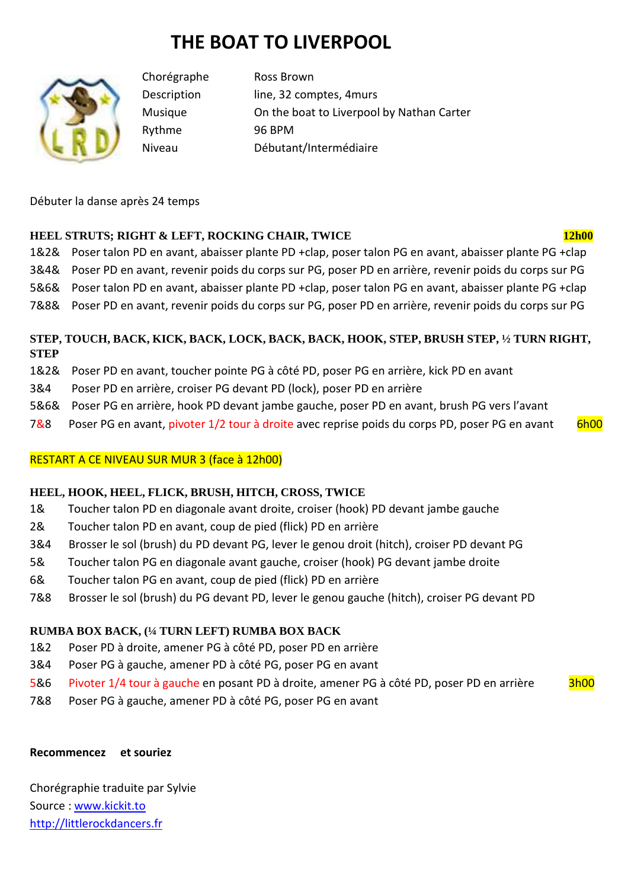# **THE BOAT TO LIVERPOOL**



Chorégraphe Ross Brown Description line, 32 comptes, 4 murs Musique On the boat to Liverpool by Nathan Carter Rythme 96 BPM Niveau Débutant/Intermédiaire

Débuter la danse après 24 temps

## **HEEL STRUTS; RIGHT & LEFT, ROCKING CHAIR, TWICE 12h00**

1&2& Poser talon PD en avant, abaisser plante PD +clap, poser talon PG en avant, abaisser plante PG +clap 3&4& Poser PD en avant, revenir poids du corps sur PG, poser PD en arrière, revenir poids du corps sur PG 5&6& Poser talon PD en avant, abaisser plante PD +clap, poser talon PG en avant, abaisser plante PG +clap 7&8& Poser PD en avant, revenir poids du corps sur PG, poser PD en arrière, revenir poids du corps sur PG

## **STEP, TOUCH, BACK, KICK, BACK, LOCK, BACK, BACK, HOOK, STEP, BRUSH STEP, ½ TURN RIGHT, STEP**

- 1&2& Poser PD en avant, toucher pointe PG à côté PD, poser PG en arrière, kick PD en avant
- 3&4 Poser PD en arrière, croiser PG devant PD (lock), poser PD en arrière
- 5&6& Poser PG en arrière, hook PD devant jambe gauche, poser PD en avant, brush PG vers l'avant
- 7&8 Poser PG en avant, pivoter 1/2 tour à droite avec reprise poids du corps PD, poser PG en avant 6h00

## RESTART A CE NIVEAU SUR MUR 3 (face à 12h00)

#### **HEEL, HOOK, HEEL, FLICK, BRUSH, HITCH, CROSS, TWICE**

- 1& Toucher talon PD en diagonale avant droite, croiser (hook) PD devant jambe gauche
- 2& Toucher talon PD en avant, coup de pied (flick) PD en arrière
- 3&4 Brosser le sol (brush) du PD devant PG, lever le genou droit (hitch), croiser PD devant PG
- 5& Toucher talon PG en diagonale avant gauche, croiser (hook) PG devant jambe droite
- 6& Toucher talon PG en avant, coup de pied (flick) PD en arrière
- 7&8 Brosser le sol (brush) du PG devant PD, lever le genou gauche (hitch), croiser PG devant PD

## **RUMBA BOX BACK, (¼ TURN LEFT) RUMBA BOX BACK**

- 1&2 Poser PD à droite, amener PG à côté PD, poser PD en arrière
- 3&4 Poser PG à gauche, amener PD à côté PG, poser PG en avant
- 5&6 Pivoter 1/4 tour à gauche en posant PD à droite, amener PG à côté PD, poser PD en arrière 3h00
- 7&8 Poser PG à gauche, amener PD à côté PG, poser PG en avant

#### **Recommencez et souriez**

Chorégraphie traduite par Sylvie Source : www.kickit.to http://littlerockdancers.fr